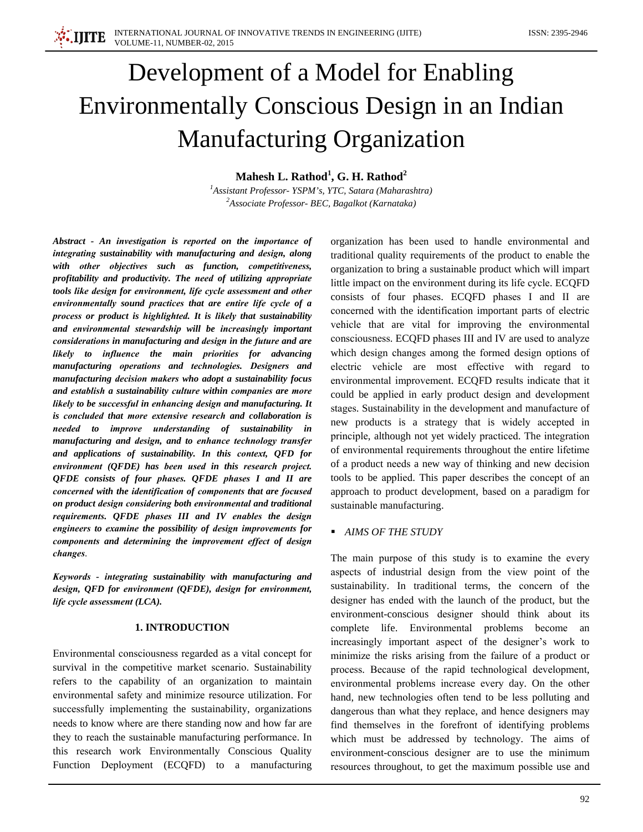# Development of a Model for Enabling **Environmentally Conscious Design in an Indian Manufacturing Organization**

Mahesh L. Rathod<sup>1</sup>, G. H. Rathod<sup>2</sup>

<sup>1</sup>Assistant Professor-YSPM's, YTC, Satara (Maharashtra) <sup>2</sup>Associate Professor- BEC, Bagalkot (Karnataka)

Abstract - An investigation is reported on the importance of integrating sustainability with manufacturing and design, along with other objectives such as function, competitiveness, profitability and productivity. The need of utilizing appropriate tools like design for environment, life cycle assessment and other environmentally sound practices that are entire life cycle of a process or product is highlighted. It is likely that sustainability and environmental stewardship will be increasingly important considerations in manufacturing and design in the future and are likely to influence the main priorities for advancing manufacturing operations and technologies. Designers and manufacturing decision makers who adopt a sustainability focus and establish a sustainability culture within companies are more likely to be successful in enhancing design and manufacturing. It is concluded that more extensive research and collaboration is needed to improve understanding of sustainability in manufacturing and design, and to enhance technology transfer and applications of sustainability. In this context, QFD for environment (QFDE) has been used in this research project. QFDE consists of four phases. QFDE phases I and II are concerned with the identification of components that are focused on product design considering both environmental and traditional requirements. OFDE phases III and IV enables the design engineers to examine the possibility of design improvements for components and determining the improvement effect of design changes.

Keywords - integrating sustainability with manufacturing and design, QFD for environment (QFDE), design for environment, life cycle assessment (LCA).

## **1. INTRODUCTION**

Environmental consciousness regarded as a vital concept for survival in the competitive market scenario. Sustainability refers to the capability of an organization to maintain environmental safety and minimize resource utilization. For successfully implementing the sustainability, organizations needs to know where are there standing now and how far are they to reach the sustainable manufacturing performance. In this research work Environmentally Conscious Quality Function Deployment (ECQFD) to a manufacturing

organization has been used to handle environmental and traditional quality requirements of the product to enable the organization to bring a sustainable product which will impart little impact on the environment during its life cycle. ECQFD consists of four phases. ECQFD phases I and II are concerned with the identification important parts of electric vehicle that are vital for improving the environmental consciousness. ECQFD phases III and IV are used to analyze which design changes among the formed design options of electric vehicle are most effective with regard to environmental improvement. ECQFD results indicate that it could be applied in early product design and development stages. Sustainability in the development and manufacture of new products is a strategy that is widely accepted in principle, although not yet widely practiced. The integration of environmental requirements throughout the entire lifetime of a product needs a new way of thinking and new decision tools to be applied. This paper describes the concept of an approach to product development, based on a paradigm for sustainable manufacturing.

# • AIMS OF THE STUDY

The main purpose of this study is to examine the every aspects of industrial design from the view point of the sustainability. In traditional terms, the concern of the designer has ended with the launch of the product, but the environment-conscious designer should think about its complete life. Environmental problems become an increasingly important aspect of the designer's work to minimize the risks arising from the failure of a product or process. Because of the rapid technological development, environmental problems increase every day. On the other hand, new technologies often tend to be less polluting and dangerous than what they replace, and hence designers may find themselves in the forefront of identifying problems which must be addressed by technology. The aims of environment-conscious designer are to use the minimum resources throughout, to get the maximum possible use and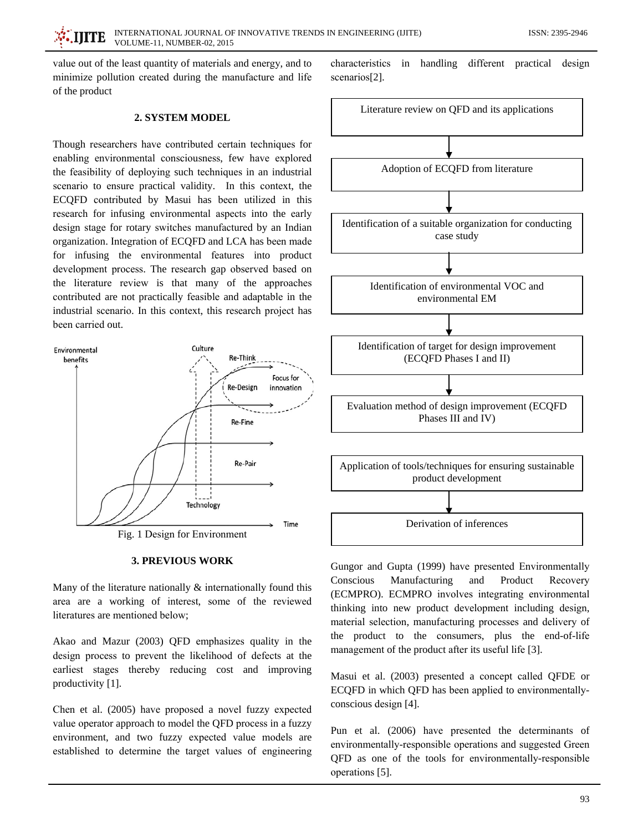value out of the least quantity of materials and energy, and to minimize pollution created during the manufacture and life of the product

# 2. SYSTEM MODEL

Though researchers have contributed certain techniques for enabling environmental consciousness, few have explored the feasibility of deploying such techniques in an industrial scenario to ensure practical validity. In this context, the ECQFD contributed by Masui has been utilized in this research for infusing environmental aspects into the early design stage for rotary switches manufactured by an Indian organization. Integration of ECQFD and LCA has been made for infusing the environmental features into product development process. The research gap observed based on the literature review is that many of the approaches contributed are not practically feasible and adaptable in the industrial scenario. In this context, this research project has been carried out.



### **3. PREVIOUS WORK**

Many of the literature nationally  $\&$  internationally found this area are a working of interest, some of the reviewed literatures are mentioned below;

Akao and Mazur (2003) QFD emphasizes quality in the design process to prevent the likelihood of defects at the earliest stages thereby reducing cost and improving productivity [1].

Chen et al. (2005) have proposed a novel fuzzy expected value operator approach to model the QFD process in a fuzzy environment, and two fuzzy expected value models are established to determine the target values of engineering

characteristics in handling different practical design scenarios[2].



Gungor and Gupta (1999) have presented Environmentally Conscious Manufacturing and Product Recovery (ECMPRO). ECMPRO involves integrating environmental thinking into new product development including design, material selection, manufacturing processes and delivery of the product to the consumers, plus the end-of-life management of the product after its useful life [3].

Masui et al. (2003) presented a concept called QFDE or ECQFD in which QFD has been applied to environmentallyconscious design [4].

Pun et al. (2006) have presented the determinants of environmentally-responsible operations and suggested Green QFD as one of the tools for environmentally-responsible operations [5].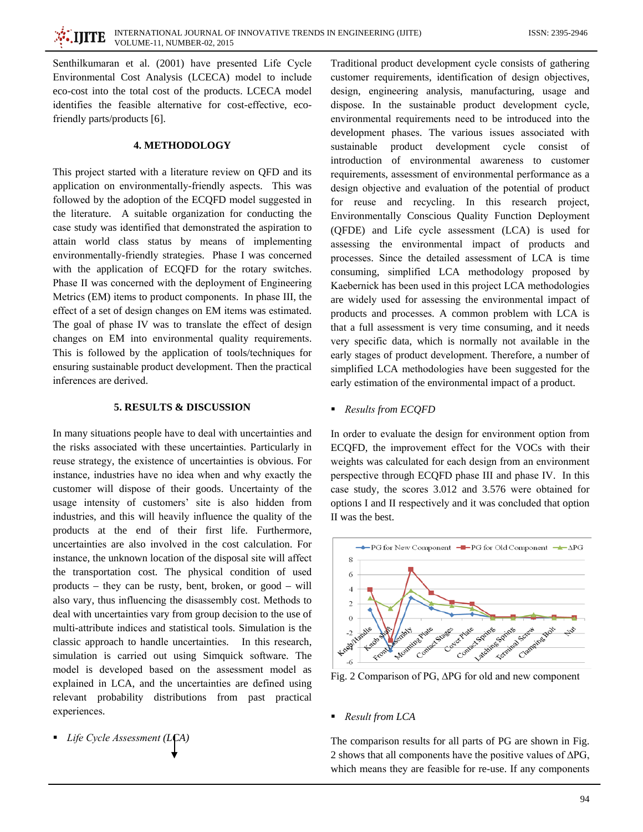Senthilkumaran et al. (2001) have presented Life Cycle Environmental Cost Analysis (LCECA) model to include eco-cost into the total cost of the products. LCECA model identifies the feasible alternative for cost-effective, ecofriendly parts/products [6].

# **4. METHODOLOGY**

This project started with a literature review on QFD and its application on environmentally-friendly aspects. This was followed by the adoption of the ECQFD model suggested in the literature. A suitable organization for conducting the case study was identified that demonstrated the aspiration to attain world class status by means of implementing environmentally-friendly strategies. Phase I was concerned with the application of ECQFD for the rotary switches. Phase II was concerned with the deployment of Engineering Metrics (EM) items to product components. In phase III, the effect of a set of design changes on EM items was estimated. The goal of phase IV was to translate the effect of design changes on EM into environmental quality requirements. This is followed by the application of tools/techniques for ensuring sustainable product development. Then the practical inferences are derived.

#### **5. RESULTS & DISCUSSION**

In many situations people have to deal with uncertainties and the risks associated with these uncertainties. Particularly in reuse strategy, the existence of uncertainties is obvious. For instance, industries have no idea when and why exactly the customer will dispose of their goods. Uncertainty of the usage intensity of customers' site is also hidden from industries, and this will heavily influence the quality of the products at the end of their first life. Furthermore, uncertainties are also involved in the cost calculation. For instance, the unknown location of the disposal site will affect the transportation cost. The physical condition of used products – they can be rusty, bent, broken, or good – will also vary, thus influencing the disassembly cost. Methods to deal with uncertainties vary from group decision to the use of multi-attribute indices and statistical tools. Simulation is the classic approach to handle uncertainties. In this research, simulation is carried out using Simquick software. The model is developed based on the assessment model as explained in LCA, and the uncertainties are defined using relevant probability distributions from past practical experiences.

• Life Cycle Assessment (LCA)

Traditional product development cycle consists of gathering customer requirements, identification of design objectives, design, engineering analysis, manufacturing, usage and dispose. In the sustainable product development cycle, environmental requirements need to be introduced into the development phases. The various issues associated with sustainable product development cycle consist of introduction of environmental awareness to customer requirements, assessment of environmental performance as a design objective and evaluation of the potential of product for reuse and recycling. In this research project, Environmentally Conscious Quality Function Deployment (QFDE) and Life cycle assessment (LCA) is used for assessing the environmental impact of products and processes. Since the detailed assessment of LCA is time consuming, simplified LCA methodology proposed by Kaebernick has been used in this project LCA methodologies are widely used for assessing the environmental impact of products and processes. A common problem with LCA is that a full assessment is very time consuming, and it needs very specific data, which is normally not available in the early stages of product development. Therefore, a number of simplified LCA methodologies have been suggested for the early estimation of the environmental impact of a product.

• Results from ECQFD

In order to evaluate the design for environment option from ECQFD, the improvement effect for the VOCs with their weights was calculated for each design from an environment perspective through ECQFD phase III and phase IV. In this case study, the scores 3.012 and 3.576 were obtained for options I and II respectively and it was concluded that option II was the best.



Fig. 2 Comparison of PG, ∆PG for old and new component

 $\blacksquare$  Result from LCA

The comparison results for all parts of PG are shown in Fig. 2 shows that all components have the positive values of  $\Delta PG$ , which means they are feasible for re-use. If any components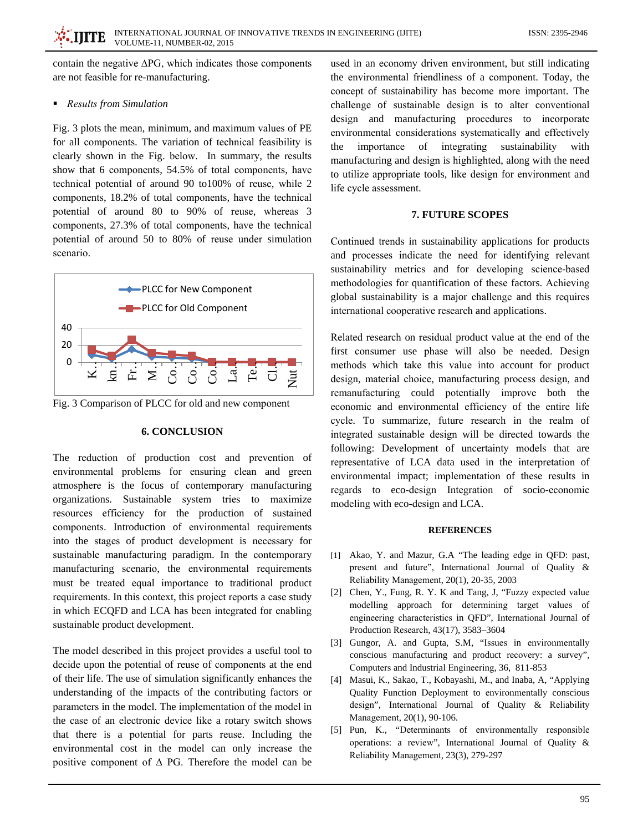contain the negative  $\Delta PG$ , which indicates those components are not feasible for re-manufacturing.

# Results from Simulation

Fig. 3 plots the mean, minimum, and maximum values of PE for all components. The variation of technical feasibility is clearly shown in the Fig. below. In summary, the results show that 6 components, 54.5% of total components, have technical potential of around 90 to100% of reuse, while 2 components, 18.2% of total components, have the technical potential of around 80 to 90% of reuse, whereas 3 components, 27.3% of total components, have the technical notential of around 50 to 80% of reuse under simulation scenario.



Fig. 3 Comparison of PLCC for old and new component

# **6. CONCLUSION**

The reduction of production cost and prevention of environmental problems for ensuring clean and green atmosphere is the focus of contemporary manufacturing organizations. Sustainable system tries to maximize resources efficiency for the production of sustained components. Introduction of environmental requirements into the stages of product development is necessary for sustainable manufacturing paradigm. In the contemporary manufacturing scenario, the environmental requirements must be treated equal importance to traditional product requirements. In this context, this project reports a case study in which ECQFD and LCA has been integrated for enabling sustainable product development.

The model described in this project provides a useful tool to decide upon the potential of reuse of components at the end of their life. The use of simulation significantly enhances the understanding of the impacts of the contributing factors or parameters in the model. The implementation of the model in the case of an electronic device like a rotary switch shows that there is a potential for parts reuse. Including the environmental cost in the model can only increase the positive component of  $\Delta$  PG. Therefore the model can be

used in an economy driven environment, but still indicating the environmental friendliness of a component. Today, the concept of sustainability has become more important. The challenge of sustainable design is to alter conventional design and manufacturing procedures to incorporate environmental considerations systematically and effectively importance of integrating sustainability the with manufacturing and design is highlighted, along with the need to utilize appropriate tools, like design for environment and life cycle assessment.

# 7. FUTURE SCOPES

Continued trends in sustainability applications for products and processes indicate the need for identifying relevant sustainability metrics and for developing science-based methodologies for quantification of these factors. Achieving global sustainability is a major challenge and this requires international cooperative research and applications.

Related research on residual product value at the end of the first consumer use phase will also be needed. Design methods which take this value into account for product design, material choice, manufacturing process design, and remanufacturing could potentially improve both the economic and environmental efficiency of the entire life cycle. To summarize, future research in the realm of integrated sustainable design will be directed towards the following: Development of uncertainty models that are representative of LCA data used in the interpretation of environmental impact; implementation of these results in regards to eco-design Integration of socio-economic modeling with eco-design and LCA.

#### **REFERENCES**

- [1] Akao, Y. and Mazur, G.A "The leading edge in OFD: past, present and future", International Journal of Quality & Reliability Management, 20(1), 20-35, 2003
- [2] Chen, Y., Fung, R. Y. K and Tang, J, "Fuzzy expected value modelling approach for determining target values of engineering characteristics in QFD", International Journal of Production Research, 43(17), 3583-3604
- [3] Gungor, A. and Gupta, S.M. "Issues in environmentally conscious manufacturing and product recovery: a survey", Computers and Industrial Engineering, 36, 811-853
- [4] Masui, K., Sakao, T., Kobayashi, M., and Inaba, A, "Applying Quality Function Deployment to environmentally conscious design", International Journal of Quality & Reliability Management, 20(1), 90-106.
- Pun, K., "Determinants of environmentally responsible  $\lceil 5 \rceil$ operations: a review", International Journal of Quality & Reliability Management, 23(3), 279-297